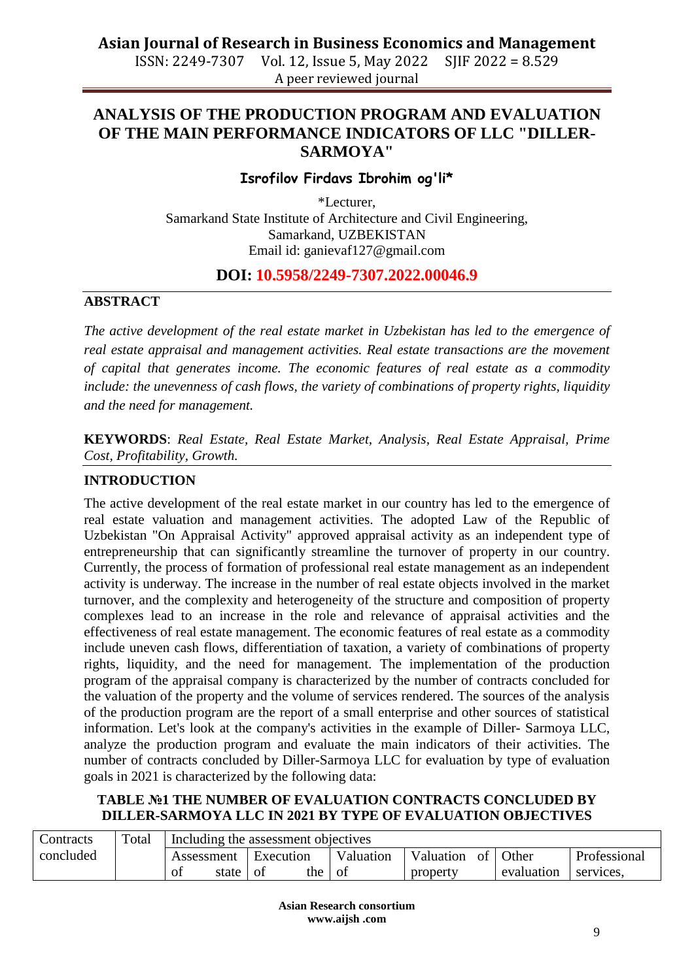A peer reviewed journal

### **ANALYSIS OF THE PRODUCTION PROGRAM AND EVALUATION OF THE MAIN PERFORMANCE INDICATORS OF LLC "DILLER-SARMOYA"**

#### **Isrofilov Firdavs Ibrohim og'li\***

\*Lecturer, Samarkand State Institute of Architecture and Civil Engineering, Samarkand*,* UZBEKISTAN Email id: ganievaf127@gmail.com

#### **DOI: 10.5958/2249-7307.2022.00046.9**

#### **ABSTRACT**

*The active development of the real estate market in Uzbekistan has led to the emergence of real estate appraisal and management activities. Real estate transactions are the movement of capital that generates income. The economic features of real estate as a commodity include: the unevenness of cash flows, the variety of combinations of property rights, liquidity and the need for management.*

**KEYWORDS**: *Real Estate, Real Estate Market, Analysis, Real Estate Appraisal, Prime Cost, Profitability, Growth.*

#### **INTRODUCTION**

The active development of the real estate market in our country has led to the emergence of real estate valuation and management activities. The adopted Law of the Republic of Uzbekistan "On Appraisal Activity" approved appraisal activity as an independent type of entrepreneurship that can significantly streamline the turnover of property in our country. Currently, the process of formation of professional real estate management as an independent activity is underway. The increase in the number of real estate objects involved in the market turnover, and the complexity and heterogeneity of the structure and composition of property complexes lead to an increase in the role and relevance of appraisal activities and the effectiveness of real estate management. The economic features of real estate as a commodity include uneven cash flows, differentiation of taxation, a variety of combinations of property rights, liquidity, and the need for management. The implementation of the production program of the appraisal company is characterized by the number of contracts concluded for the valuation of the property and the volume of services rendered. The sources of the analysis of the production program are the report of a small enterprise and other sources of statistical information. Let's look at the company's activities in the example of Diller- Sarmoya LLC, analyze the production program and evaluate the main indicators of their activities. The number of contracts concluded by Diller-Sarmoya LLC for evaluation by type of evaluation goals in 2021 is characterized by the following data:

#### **TABLE №1 THE NUMBER OF EVALUATION CONTRACTS CONCLUDED BY DILLER-SARMOYA LLC IN 2021 BY TYPE OF EVALUATION OBJECTIVES**

| Contracts | Total | Including the assessment objectives |       |           |           |     |          |              |            |           |
|-----------|-------|-------------------------------------|-------|-----------|-----------|-----|----------|--------------|------------|-----------|
| concluded |       | Execution<br>Assessment             |       | Valuation | Valuation | of  | Other    | Professional |            |           |
|           |       | Οİ                                  | state | -O1       | the       | -o1 | property |              | evaluation | services. |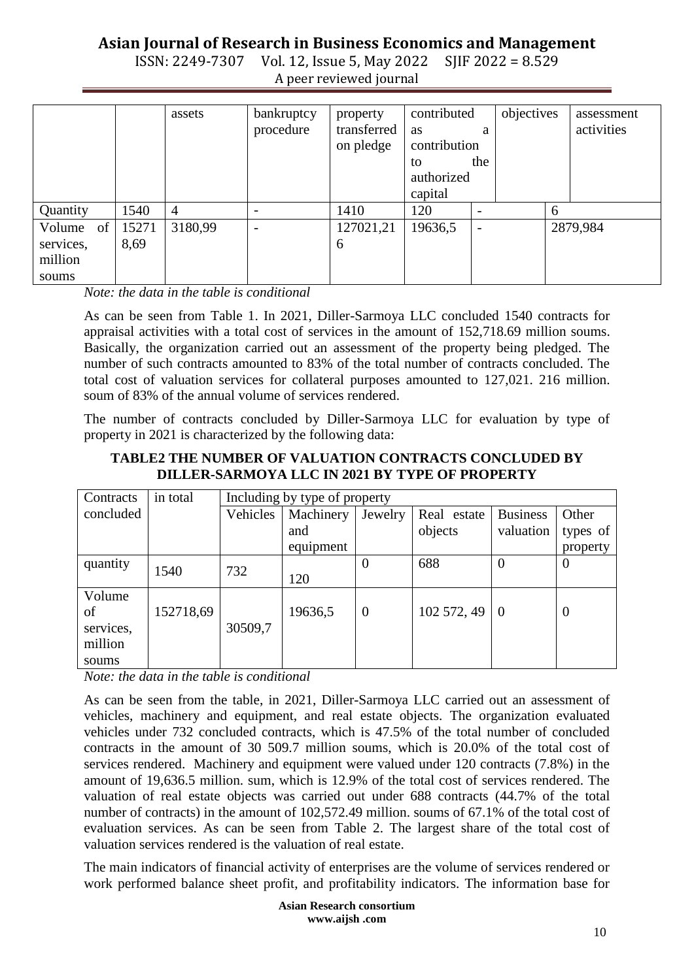ISSN: 2249-7307 Vol. 12, Issue 5, May 2022 A peer reviewed journal

|                                               |               | assets  | bankruptcy<br>procedure  | property<br>transferred<br>on pledge | contributed<br>as<br>contribution<br>to<br>authorized<br>capital | a<br>the | objectives |   | assessment<br>activities |
|-----------------------------------------------|---------------|---------|--------------------------|--------------------------------------|------------------------------------------------------------------|----------|------------|---|--------------------------|
| Quantity                                      | 1540          | 4       | $\overline{\phantom{a}}$ | 1410                                 | 120                                                              |          |            | 6 |                          |
| Volume<br>of<br>services,<br>million<br>soums | 15271<br>8,69 | 3180,99 | $\overline{\phantom{a}}$ | 127021,21<br>6                       | 19636,5                                                          |          |            |   | 2879,984                 |

*Note: the data in the table is conditional*

As can be seen from Table 1. In 2021, Diller-Sarmoya LLC concluded 1540 contracts for appraisal activities with a total cost of services in the amount of 152,718.69 million soums. Basically, the organization carried out an assessment of the property being pledged. The number of such contracts amounted to 83% of the total number of contracts concluded. The total cost of valuation services for collateral purposes amounted to 127,021. 216 million. soum of 83% of the annual volume of services rendered.

The number of contracts concluded by Diller-Sarmoya LLC for evaluation by type of property in 2021 is characterized by the following data:

| Contracts | in total  | Including by type of property |           |                |             |                 |                |  |
|-----------|-----------|-------------------------------|-----------|----------------|-------------|-----------------|----------------|--|
| concluded |           | Vehicles                      | Machinery | Jewelry        | Real estate | <b>Business</b> | Other          |  |
|           |           |                               | and       |                | objects     | valuation       | types of       |  |
|           |           |                               | equipment |                |             |                 | property       |  |
| quantity  | 1540      | 732                           |           | $\Omega$       | 688         | $\theta$        | $\overline{0}$ |  |
|           |           |                               | 120       |                |             |                 |                |  |
| Volume    |           |                               |           |                |             |                 |                |  |
| of        | 152718,69 |                               | 19636,5   | $\overline{0}$ | 102 572, 49 | - 0             | $\overline{0}$ |  |
| services, |           | 30509,7                       |           |                |             |                 |                |  |
| million   |           |                               |           |                |             |                 |                |  |
| soums     |           |                               |           |                |             |                 |                |  |

#### **TABLE2 THE NUMBER OF VALUATION CONTRACTS CONCLUDED BY DILLER-SARMOYA LLC IN 2021 BY TYPE OF PROPERTY**

*Note: the data in the table is conditional*

As can be seen from the table, in 2021, Diller-Sarmoya LLC carried out an assessment of vehicles, machinery and equipment, and real estate objects. The organization evaluated vehicles under 732 concluded contracts, which is 47.5% of the total number of concluded contracts in the amount of 30 509.7 million soums, which is 20.0% of the total cost of services rendered. Machinery and equipment were valued under 120 contracts (7.8%) in the amount of 19,636.5 million. sum, which is 12.9% of the total cost of services rendered. The valuation of real estate objects was carried out under 688 contracts (44.7% of the total number of contracts) in the amount of 102,572.49 million. soums of 67.1% of the total cost of evaluation services. As can be seen from Table 2. The largest share of the total cost of valuation services rendered is the valuation of real estate.

The main indicators of financial activity of enterprises are the volume of services rendered or work performed balance sheet profit, and profitability indicators. The information base for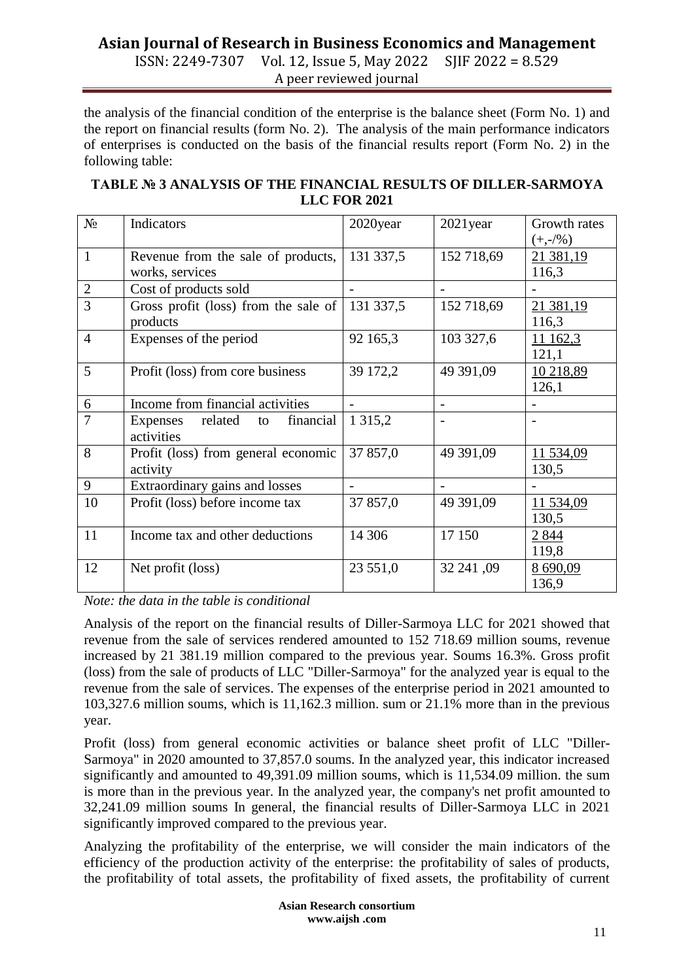ISSN: 2249-7307 Vol. 12, Issue 5, May 2022 SJIF 2022 = 8.529 A peer reviewed journal

the analysis of the financial condition of the enterprise is the balance sheet (Form No. 1) and the report on financial results (form No. 2). The analysis of the main performance indicators of enterprises is conducted on the basis of the financial results report (Form No. 2) in the following table:

| TABLE № 3 ANALYSIS OF THE FINANCIAL RESULTS OF DILLER-SARMOYA |
|---------------------------------------------------------------|
| <b>LLC FOR 2021</b>                                           |

| $N_2$          | Indicators                                               | 2020year    | $2021$ year    | Growth rates       |
|----------------|----------------------------------------------------------|-------------|----------------|--------------------|
|                |                                                          |             |                | $(+,-/%)$          |
| $\mathbf{1}$   | Revenue from the sale of products,                       | 131 337,5   | 152 718,69     | 21 381,19          |
|                | works, services                                          |             |                | 116,3              |
| $\sqrt{2}$     | Cost of products sold                                    |             |                |                    |
| $\overline{3}$ | Gross profit (loss) from the sale of $\vert$<br>products | 131 337,5   | 152 718,69     | 21 381,19<br>116,3 |
| $\overline{4}$ | Expenses of the period                                   | 92 165,3    | 103 327,6      | 11 162,3<br>121,1  |
| 5              | Profit (loss) from core business                         | 39 172,2    | 49 391,09      | 10 218,89<br>126,1 |
| 6              | Income from financial activities                         |             | $\overline{a}$ |                    |
| 7              | related<br>financial<br>Expenses<br>to<br>activities     | 1 3 1 5 , 2 |                |                    |
| 8              | Profit (loss) from general economic<br>activity          | 37 857,0    | 49 391,09      | 11 534,09<br>130,5 |
| 9              | Extraordinary gains and losses                           |             |                |                    |
| 10             | Profit (loss) before income tax                          | 37 857,0    | 49 391,09      | 11 534,09<br>130,5 |
| 11             | Income tax and other deductions                          | 14 30 6     | 17 150         | 2 8 4 4<br>119,8   |
| 12             | Net profit (loss)                                        | 23 551,0    | 32 241,09      | 8 690,09<br>136,9  |

*Note: the data in the table is conditional*

Analysis of the report on the financial results of Diller-Sarmoya LLC for 2021 showed that revenue from the sale of services rendered amounted to 152 718.69 million soums, revenue increased by 21 381.19 million compared to the previous year. Soums 16.3%. Gross profit (loss) from the sale of products of LLC "Diller-Sarmoya" for the analyzed year is equal to the revenue from the sale of services. The expenses of the enterprise period in 2021 amounted to 103,327.6 million soums, which is 11,162.3 million. sum or 21.1% more than in the previous year.

Profit (loss) from general economic activities or balance sheet profit of LLC "Diller-Sarmoya" in 2020 amounted to 37,857.0 soums. In the analyzed year, this indicator increased significantly and amounted to 49,391.09 million soums, which is 11,534.09 million. the sum is more than in the previous year. In the analyzed year, the company's net profit amounted to 32,241.09 million soums In general, the financial results of Diller-Sarmoya LLC in 2021 significantly improved compared to the previous year.

Analyzing the profitability of the enterprise, we will consider the main indicators of the efficiency of the production activity of the enterprise: the profitability of sales of products, the profitability of total assets, the profitability of fixed assets, the profitability of current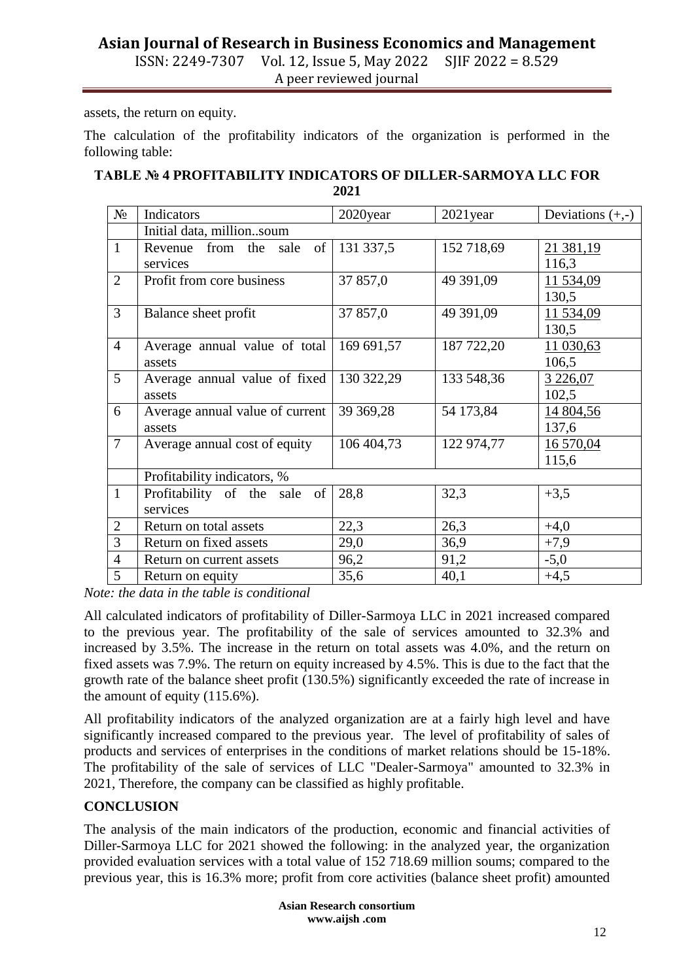ISSN: 2249-7307 Vol. 12, Issue 5, May 2022 SJIF 2022 = 8.529 A peer reviewed journal

assets, the return on equity.

The calculation of the profitability indicators of the organization is performed in the following table:

#### **TABLE № 4 PROFITABILITY INDICATORS OF DILLER-SARMOYA LLC FOR 2021**

| $N_2$          | Indicators                                  | 2020year   | $2021$ year | Deviations $(+,-)$  |  |  |  |  |
|----------------|---------------------------------------------|------------|-------------|---------------------|--|--|--|--|
|                | Initial data, millionsoum                   |            |             |                     |  |  |  |  |
| $\mathbf{1}$   | Revenue from the sale<br>of<br>services     | 131 337,5  | 152 718,69  | 21 381,19<br>116,3  |  |  |  |  |
| $\overline{2}$ | Profit from core business                   | 37 857,0   | 49 391,09   | 11 534,09<br>130,5  |  |  |  |  |
| 3              | Balance sheet profit                        | 37 857,0   | 49 391,09   | 11 534,09<br>130,5  |  |  |  |  |
| $\overline{4}$ | Average annual value of total<br>assets     | 169 691,57 | 187 722,20  | 11 030,63<br>106,5  |  |  |  |  |
| 5              | Average annual value of fixed<br>assets     | 130 322,29 | 133 548,36  | 3 2 2 6,07<br>102,5 |  |  |  |  |
| 6              | Average annual value of current<br>assets   | 39 369,28  | 54 173,84   | 14 804,56<br>137,6  |  |  |  |  |
| $\overline{7}$ | Average annual cost of equity               | 106 404,73 | 122 974,77  | 16 570,04<br>115,6  |  |  |  |  |
|                | Profitability indicators, %                 |            |             |                     |  |  |  |  |
| $\mathbf{1}$   | Profitability of the sale<br>of<br>services | 28,8       | 32,3        | $+3,5$              |  |  |  |  |
| $\overline{2}$ | Return on total assets                      | 22,3       | 26,3        | $+4,0$              |  |  |  |  |
| 3              | Return on fixed assets                      | 29,0       | 36,9        | $+7,9$              |  |  |  |  |
| $\overline{4}$ | Return on current assets                    | 96,2       | 91,2        | $-5,0$              |  |  |  |  |
| 5              | Return on equity                            | 35,6       | 40,1        | $+4,5$              |  |  |  |  |

*Note: the data in the table is conditional*

All calculated indicators of profitability of Diller-Sarmoya LLC in 2021 increased compared to the previous year. The profitability of the sale of services amounted to 32.3% and increased by 3.5%. The increase in the return on total assets was 4.0%, and the return on fixed assets was 7.9%. The return on equity increased by 4.5%. This is due to the fact that the growth rate of the balance sheet profit (130.5%) significantly exceeded the rate of increase in the amount of equity (115.6%).

All profitability indicators of the analyzed organization are at a fairly high level and have significantly increased compared to the previous year. The level of profitability of sales of products and services of enterprises in the conditions of market relations should be 15-18%. The profitability of the sale of services of LLC "Dealer-Sarmoya" amounted to 32.3% in 2021, Therefore, the company can be classified as highly profitable.

#### **CONCLUSION**

The analysis of the main indicators of the production, economic and financial activities of Diller-Sarmoya LLC for 2021 showed the following: in the analyzed year, the organization provided evaluation services with a total value of 152 718.69 million soums; compared to the previous year, this is 16.3% more; profit from core activities (balance sheet profit) amounted